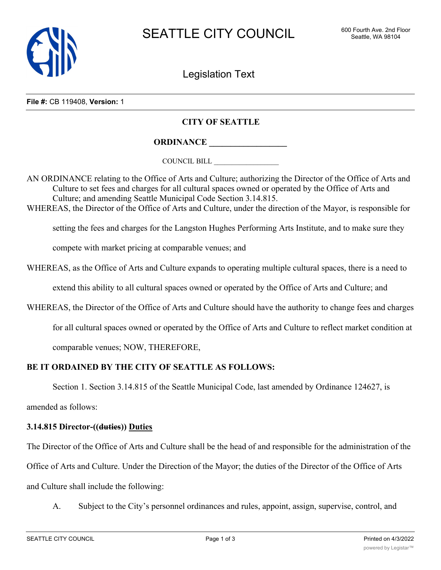

Legislation Text

**File #:** CB 119408, **Version:** 1

## **CITY OF SEATTLE**

**ORDINANCE \_\_\_\_\_\_\_\_\_\_\_\_\_\_\_\_\_\_**

COUNCIL BILL \_\_\_\_\_\_\_\_\_\_\_\_\_\_\_\_\_\_

AN ORDINANCE relating to the Office of Arts and Culture; authorizing the Director of the Office of Arts and Culture to set fees and charges for all cultural spaces owned or operated by the Office of Arts and Culture; and amending Seattle Municipal Code Section 3.14.815. WHEREAS, the Director of the Office of Arts and Culture, under the direction of the Mayor, is responsible for

setting the fees and charges for the Langston Hughes Performing Arts Institute, and to make sure they

compete with market pricing at comparable venues; and

WHEREAS, as the Office of Arts and Culture expands to operating multiple cultural spaces, there is a need to

extend this ability to all cultural spaces owned or operated by the Office of Arts and Culture; and

WHEREAS, the Director of the Office of Arts and Culture should have the authority to change fees and charges

for all cultural spaces owned or operated by the Office of Arts and Culture to reflect market condition at

comparable venues; NOW, THEREFORE,

## **BE IT ORDAINED BY THE CITY OF SEATTLE AS FOLLOWS:**

Section 1. Section 3.14.815 of the Seattle Municipal Code, last amended by Ordinance 124627, is

amended as follows:

## **3.14.815 Director-((duties)) Duties**

The Director of the Office of Arts and Culture shall be the head of and responsible for the administration of the Office of Arts and Culture. Under the Direction of the Mayor; the duties of the Director of the Office of Arts and Culture shall include the following:

A. Subject to the City's personnel ordinances and rules, appoint, assign, supervise, control, and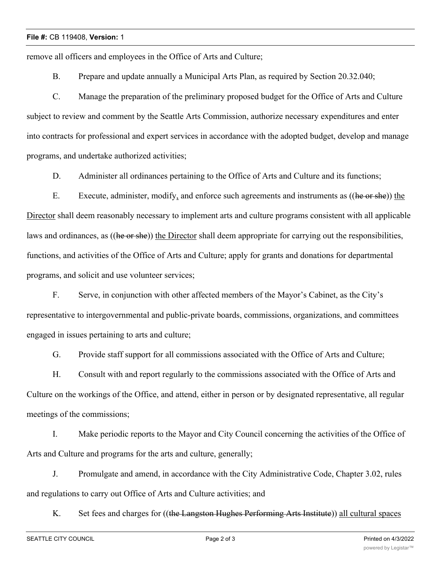## **File #:** CB 119408, **Version:** 1

remove all officers and employees in the Office of Arts and Culture;

B. Prepare and update annually a Municipal Arts Plan, as required by Section 20.32.040;

C. Manage the preparation of the preliminary proposed budget for the Office of Arts and Culture subject to review and comment by the Seattle Arts Commission, authorize necessary expenditures and enter into contracts for professional and expert services in accordance with the adopted budget, develop and manage programs, and undertake authorized activities;

D. Administer all ordinances pertaining to the Office of Arts and Culture and its functions;

E. Execute, administer, modify, and enforce such agreements and instruments as ((he or she)) the Director shall deem reasonably necessary to implement arts and culture programs consistent with all applicable laws and ordinances, as ((he or she)) the Director shall deem appropriate for carrying out the responsibilities, functions, and activities of the Office of Arts and Culture; apply for grants and donations for departmental programs, and solicit and use volunteer services;

F. Serve, in conjunction with other affected members of the Mayor's Cabinet, as the City's representative to intergovernmental and public-private boards, commissions, organizations, and committees engaged in issues pertaining to arts and culture;

G. Provide staff support for all commissions associated with the Office of Arts and Culture;

H. Consult with and report regularly to the commissions associated with the Office of Arts and Culture on the workings of the Office, and attend, either in person or by designated representative, all regular meetings of the commissions;

I. Make periodic reports to the Mayor and City Council concerning the activities of the Office of Arts and Culture and programs for the arts and culture, generally;

J. Promulgate and amend, in accordance with the City Administrative Code, Chapter 3.02, rules and regulations to carry out Office of Arts and Culture activities; and

K. Set fees and charges for ((the Langston Hughes Performing Arts Institute)) all cultural spaces